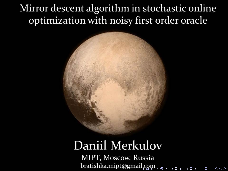## Mirror descent algorithm in stochastic online optimization with noisy first order oracle



# Daniil Merkulov

MIPT, Moscow, Russia bratishka.mipt@gmail.com .ex  $2Q$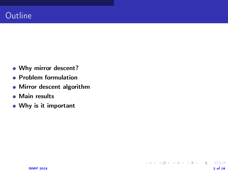- Why mirror descent?
- **Problem formulation**
- Mirror descent algorithm

K ロ ▶ K @ ▶ K 할 ▶ K 할 ▶ → 할 → 9 Q @

- **Main results**
- Why is it important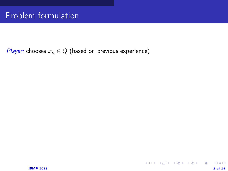*Player:* chooses  $x_k \in Q$  (based on previous experience)

K ロ X (日) X (日) X (日) X (日) 2 (日) X (日) X (日) X (日) X (日) X (日) X (日) 2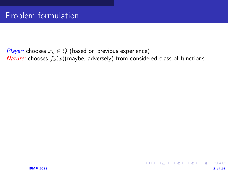*Player:* chooses  $x_k \in Q$  (based on previous experience) *Nature:* chooses  $f_k(x)$ (maybe, adversely) from considered class of functions

K ロ ▶ K @ ▶ K 할 ▶ K 할 ▶ → 할 → 9 Q @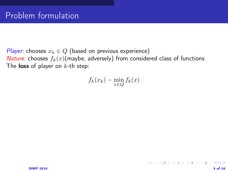*Player:* chooses  $x_k \in Q$  (based on previous experience) *Nature:* chooses  $f_k(x)$ (maybe, adversely) from considered class of functions The loss of player on  $k$ -th step:

$$
f_k(x_k) - \min_{x \in Q} f_k(x)
$$

제 그 게 제 그래서 제 그는 게 되는 게 되는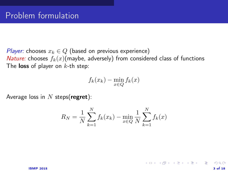*Player:* chooses  $x_k \in Q$  (based on previous experience) *Nature:* chooses  $f_k(x)$ (maybe, adversely) from considered class of functions The **loss** of player on  $k$ -th step:

$$
f_k(x_k) - \min_{x \in Q} f_k(x)
$$

Average loss in  $N$  steps(regret):

$$
R_N = \frac{1}{N} \sum_{k=1}^{N} f_k(x_k) - \min_{x \in Q} \frac{1}{N} \sum_{k=1}^{N} f_k(x)
$$

イロト 不優 ト 不重 ト 不重 トー 重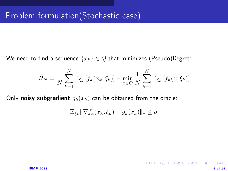We need to find a sequence  $\{x_k\} \in Q$  that minimizes (Pseudo)Regret:

$$
\hat{R}_N = \frac{1}{N} \sum_{k=1}^N \mathbb{E}_{\xi_k} \left[ f_k(x_k; \xi_k) \right] - \min_{x \in Q} \frac{1}{N} \sum_{k=1}^N \mathbb{E}_{\xi_k} \left[ f_k(x; \xi_k) \right]
$$

Only **noisy subgradient**  $g_k(x_k)$  can be obtained from the oracle:

$$
\mathbb{E}_{\xi_k} \|\nabla f_k(x_k, \xi_k) - g_k(x_k)\|_{*} \le \sigma
$$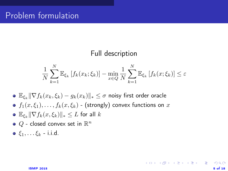#### Full description

$$
\frac{1}{N} \sum_{k=1}^{N} \mathbb{E}_{\xi_k} \left[ f_k(x_k; \xi_k) \right] - \min_{x \in Q} \frac{1}{N} \sum_{k=1}^{N} \mathbb{E}_{\xi_k} \left[ f_k(x; \xi_k) \right] \le \varepsilon
$$

- $\mathbb{E}_{\xi_k} \|\nabla f_k(x_k, \xi_k) g_k(x_k)\|_* \leq \sigma$  noisy first order oracle
- $\bullet$   $f_1(x, \xi_1), \ldots, f_k(x, \xi_k)$  (strongly) convex functions on x
- $\mathbb{E}_{\xi_k} \|\nabla f_k(x,\xi_k)\|_* \leq L$  for all  $k$
- $Q$  closed convex set in  $\mathbb{R}^n$
- $\bullet$   $\xi_1, \ldots \xi_k$  i.i.d.

 $\mathbf{A} \equiv \mathbf{A} + \mathbf{A} + \mathbf{A} + \mathbf{A} + \mathbf{A} + \mathbf{A} + \mathbf{A} + \mathbf{A} + \mathbf{A} + \mathbf{A} + \mathbf{A} + \mathbf{A} + \mathbf{A} + \mathbf{A} + \mathbf{A} + \mathbf{A} + \mathbf{A} + \mathbf{A} + \mathbf{A} + \mathbf{A} + \mathbf{A} + \mathbf{A} + \mathbf{A} + \mathbf{A} + \mathbf{A} + \mathbf{A} + \mathbf{A} + \mathbf{A} + \mathbf{A} + \mathbf{A} + \math$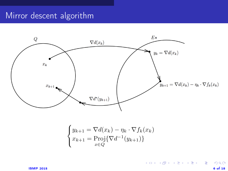### Mirror descent algorithm



$$
\begin{cases} y_{k+1} = \nabla d(x_k) - \eta_k \cdot \nabla f_k(x_k) \\ x_{k+1} = \text{Proj}\{\nabla d^{-1}(y_{k+1})\} \\ x \in Q \end{cases}
$$

 $2990$ 

K ロ X K @ X K 할 X K 할 X ( 할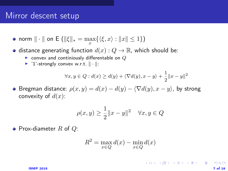#### Mirror descent setup

norm  $\|\cdot\|$  on E  $(\|\xi\|_* = \max_x {\{\langle \xi, x \rangle : \|x\| \leq 1\}})$ 

• distance generating function  $d(x): Q \to \mathbb{R}$ , which should be:

- $\triangleright$  convex and continiously differentable on  $Q$
- $\blacktriangleright$  '1'-strongly convex w.r.t.  $\|\cdot\|$ :

$$
\forall x, y \in Q : d(x) \ge d(y) + \langle \nabla d(y), x - y \rangle + \frac{1}{2} ||x - y||^2
$$

**•** Bregman distance:  $\rho(x, y) = d(x) - d(y) - \langle \nabla d(y), x - y \rangle$ , by strong convexity of  $d(x)$ :

$$
\rho(x, y) \ge \frac{1}{2} ||x - y||^2 \quad \forall x, y \in Q
$$

• Prox-diameter  $R$  of  $Q$ :

$$
R^2 = \max_{x \in Q} d(x) - \min_{x \in Q} d(x)
$$

제 그 게 제 그래서 제 그는 게 되는 게 되는 것이다.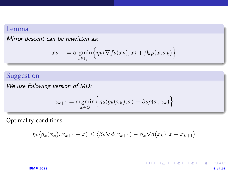#### Lemma

Mirror descent can be rewritten as:

$$
x_{k+1} = \underset{x \in Q}{\operatorname{argmin}} \Big\{ \eta_k \langle \nabla f_k(x_k), x \rangle + \beta_k \rho(x, x_k) \Big\}
$$

#### Suggestion

We use following version of MD:

$$
x_{k+1} = \underset{x \in Q}{\operatorname{argmin}} \Big\{ \eta_k \langle g_k(x_k), x \rangle + \beta_k \rho(x, x_k) \Big\}
$$

Optimality conditions:

$$
\eta_k \langle g_k(x_k), x_{k+1} - x \rangle \le \langle \beta_k \nabla d(x_{k+1}) - \beta_k \nabla d(x_k), x - x_{k+1} \rangle
$$

K ロ X K @ X K 할 X K 할 X ( 할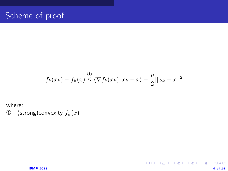$$
f_k(x_k) - f_k(x) \stackrel{\textcircled{1}}{\leq} \langle \nabla f_k(x_k), x_k - x \rangle - \frac{\mu}{2} ||x_k - x||^2
$$

イロト 不優 ト 不重 ト 不重 トー 重

 $299$ 

where:  $\Phi$  - (strong)convexity  $f_k(x)$ 

 $1$ SMP 2015 9 of 18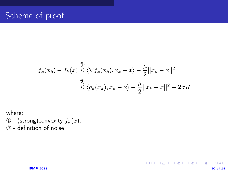$$
f_k(x_k) - f_k(x) \stackrel{\textcircled{\textit{1}}}{\leq} \langle \nabla f_k(x_k), x_k - x \rangle - \frac{\mu}{2} ||x_k - x||^2
$$
  

$$
\stackrel{\textcircled{\textit{2}}}{\leq} \langle g_k(x_k), x_k - x \rangle - \frac{\mu}{2} ||x_k - x||^2 + 2\sigma R
$$

제 그 게 제 그래서 제 그는 게 되는 게 되는 것이다.

 $299$ 

where:

 $\mathcal D$  - (strong)convexity  $f_k(x)$ ,

② - definition of noise

 $18MP$  2015 10 of 18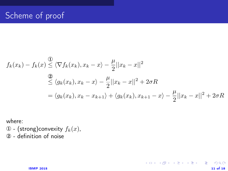## Scheme of proof

$$
f_k(x_k) - f_k(x) \le \langle \nabla f_k(x_k), x_k - x \rangle - \frac{\mu}{2} ||x_k - x||^2
$$
  
\n
$$
\le \langle g_k(x_k), x_k - x \rangle - \frac{\mu}{2} ||x_k - x||^2 + 2\sigma R
$$
  
\n
$$
= \langle g_k(x_k), x_k - x_{k+1} \rangle + \langle g_k(x_k), x_{k+1} - x \rangle - \frac{\mu}{2} ||x_k - x||^2 + 2\sigma R
$$

제 그 게 제 그래서 제 그는 게 되는 게 되는 것이다.

 $299$ 

where:

 $\mathcal D$  - (strong)convexity  $f_k(x)$ , ② - definition of noise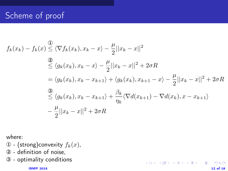## Scheme of proof

$$
f_k(x_k) - f_k(x) \le \langle \nabla f_k(x_k), x_k - x \rangle - \frac{\mu}{2} ||x_k - x||^2
$$
  
\n
$$
\ge \langle g_k(x_k), x_k - x \rangle - \frac{\mu}{2} ||x_k - x||^2 + 2\sigma R
$$
  
\n
$$
= \langle g_k(x_k), x_k - x_{k+1} \rangle + \langle g_k(x_k), x_{k+1} - x \rangle - \frac{\mu}{2} ||x_k - x||^2 + 2\sigma R
$$
  
\n
$$
\le \langle g_k(x_k), x_k - x_{k+1} \rangle + \frac{\beta_k}{\eta_k} \langle \nabla d(x_{k+1}) - \nabla d(x_k), x - x_{k+1} \rangle
$$
  
\n
$$
- \frac{\mu}{2} ||x_k - x||^2 + 2\sigma R
$$

제 그 게 제 그래서 제 그는 게 되는 게 되는 것이다.

 $QQ$ 

where:

- $\Phi$  (strong)convexity  $f_k(x)$ ,
- ② definition of noise,
- ③ optimality conditions

 $12 \text{ of } 18$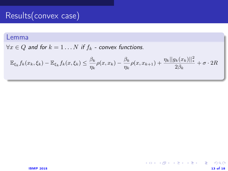## Results(convex case)

#### Lemma

 $\forall x \in Q$  and for  $k = 1 \dots N$  if  $f_k$  - convex functions.

$$
\mathbb{E}_{\xi_k} f_k(x_k, \xi_k) - \mathbb{E}_{\xi_k} f_k(x, \xi_k) \le \frac{\beta_k}{\eta_k} \rho(x, x_k) - \frac{\beta_k}{\eta_k} \rho(x, x_{k+1}) + \frac{\eta_k ||g_k(x_k)||_*^2}{2\beta_k} + \sigma \cdot 2R
$$

イロト 不優 トスミドスミド 一番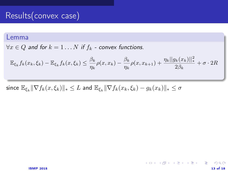### Results(convex case)

#### Lemma

 $\forall x \in Q$  and for  $k = 1 \dots N$  if  $f_k$  - convex functions.

$$
\mathbb{E}_{\xi_k} f_k(x_k, \xi_k) - \mathbb{E}_{\xi_k} f_k(x, \xi_k) \le \frac{\beta_k}{\eta_k} \rho(x, x_k) - \frac{\beta_k}{\eta_k} \rho(x, x_{k+1}) + \frac{\eta_k ||g_k(x_k)||_*^2}{2\beta_k} + \sigma \cdot 2R
$$

イロト 不優 ト 不思 ト 不思 トー 温

since  $\mathbb{E}_{\xi_k} \|\nabla f_k(x,\xi_k)\|_* \leq L$  and  $\mathbb{E}_{\xi_k} \|\nabla f_k(x_k,\xi_k) - g_k(x_k)\|_* \leq \sigma$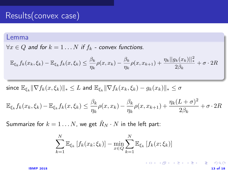#### Results(convex case)

#### Lemma

 $\forall x \in Q$  and for  $k = 1 \dots N$  if  $f_k$  - convex functions.

$$
\mathbb{E}_{\xi_k} f_k(x_k, \xi_k) - \mathbb{E}_{\xi_k} f_k(x, \xi_k) \le \frac{\beta_k}{\eta_k} \rho(x, x_k) - \frac{\beta_k}{\eta_k} \rho(x, x_{k+1}) + \frac{\eta_k ||g_k(x_k)||_*^2}{2\beta_k} + \sigma \cdot 2R
$$

since  $\mathbb{E}_{\xi_k} \|\nabla f_k(x,\xi_k)\|_* \leq L$  and  $\mathbb{E}_{\xi_k} \|\nabla f_k(x_k,\xi_k) - g_k(x_k)\|_* \leq \sigma$ 

$$
\mathbb{E}_{\xi_k} f_k(x_k, \xi_k) - \mathbb{E}_{\xi_k} f_k(x, \xi_k) \le \frac{\beta_k}{\eta_k} \rho(x, x_k) - \frac{\beta_k}{\eta_k} \rho(x, x_{k+1}) + \frac{\eta_k (L+\sigma)^2}{2\beta_k} + \sigma \cdot 2R
$$

Summarize for  $k = 1 ... N$ , we get  $\hat{R}_N \cdot N$  in the left part:

$$
\sum_{k=1}^{N} \mathbb{E}_{\xi_k} \left[ f_k(x_k; \xi_k) \right] - \min_{x \in Q} \sum_{k=1}^{N} \mathbb{E}_{\xi_k} \left[ f_k(x; \xi_k) \right]
$$

 $13 \text{ of } 18$ 

メロト 不優 ト 不重 ト 不重 トー 重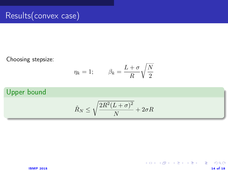Choosing stepsize:

$$
\eta_k = 1; \qquad \beta_k = \frac{L+\sigma}{R} \sqrt{\frac{N}{2}}
$$

#### Upper bound

$$
\hat{R}_N \le \sqrt{\frac{2R^2(L+\sigma)^2}{N}} + 2\sigma R
$$

 $\Omega$ 

メロト 不優 ト 不重 ト 不重 トー 重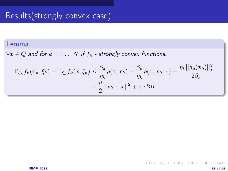## Results(strongly convex case)

#### Lemma

 $\forall x \in Q$  and for  $k = 1...N$  if  $f_k$  - strongly convex functions.

$$
\mathbb{E}_{\xi_k} f_k(x_k, \xi_k) - \mathbb{E}_{\xi_k} f_k(x, \xi_k) \le \frac{\beta_k}{\eta_k} \rho(x, x_k) - \frac{\beta_k}{\eta_k} \rho(x, x_{k+1}) + \frac{\eta_k ||g_k(x_k)||_*^2}{2\beta_k} - \frac{\mu}{2} ||x_k - x||^2 + \sigma \cdot 2R
$$

**K ロ X K 個 X K ミ X K ミ X ミ ミ …** 

 $\Omega$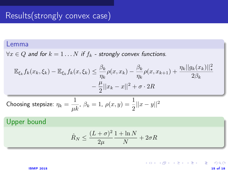## Results(strongly convex case)

#### Lemma

 $\forall x \in Q$  and for  $k = 1...N$  if  $f_k$  - strongly convex functions.

$$
\mathbb{E}_{\xi_k} f_k(x_k, \xi_k) - \mathbb{E}_{\xi_k} f_k(x, \xi_k) \le \frac{\beta_k}{\eta_k} \rho(x, x_k) - \frac{\beta_k}{\eta_k} \rho(x, x_{k+1}) + \frac{\eta_k ||g_k(x_k)||_*^2}{2\beta_k} - \frac{\mu}{2} ||x_k - x||^2 + \sigma \cdot 2R
$$

Choosing stepsize: 
$$
\eta_k = \frac{1}{\mu k}
$$
,  $\beta_k = 1$ ,  $\rho(x, y) = \frac{1}{2} ||x - y||^2$ 

#### Upper bound

$$
\hat{R}_N \le \frac{(L+\sigma)^2}{2\mu} \frac{1+\ln N}{N} + 2\sigma R
$$

 $\Omega$ 

メロト 不優 ト 不重 ト 不重 トー 重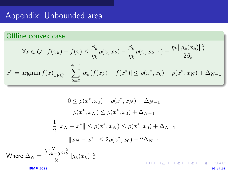## Appendix: Unbounded area

#### Offline convex case

$$
\forall x \in Q \quad f(x_k) - f(x) \le \frac{\beta_k}{\eta_k} \rho(x, x_k) - \frac{\beta_k}{\eta_k} \rho(x, x_{k+1}) + \frac{\eta_k ||g_k(x_k)||_*^2}{2\beta_k}
$$

$$
x^* = \operatorname{argmin} f(x)_{x \in Q} \quad \sum_{k=0}^{N-1} [\alpha_k (f(x_k) - f(x^*)] \le \rho(x^*, x_0) - \rho(x^*, x_N) + \Delta_{N-1}
$$

$$
0 \le \rho(x^*, x_0) - \rho(x^*, x_N) + \Delta_{N-1}
$$

$$
\rho(x^*, x_N) \le \rho(x^*, x_0) + \Delta_{N-1}
$$

$$
\frac{1}{2} ||x_N - x^*|| \le \rho(x^*, x_N) \le \rho(x^*, x_0) + \Delta_{N-1}
$$

$$
||x_N - x^*|| \le 2\rho(x^*, x_0) + 2\Delta_{N-1}
$$
Where  $\Delta_N = \frac{\sum_{k=0}^N \alpha_k^2}{2} ||g_k(x_k)||_*^2$ 

 $16 \text{ m}$  and  $16 \text{ m}$  and  $16 \text{ m}$  and  $16 \text{ m}$  and  $16 \text{ m}$  and  $16 \text{ m}$  and  $16 \text{ m}$  and  $16 \text{ m}$  and  $16 \text{ m}$  and  $16 \text{ m}$  and  $16 \text{ m}$  and  $16 \text{ m}$  and  $16 \text{ m}$  and  $16 \text{ m}$  and  $16 \text{ m}$  and  $16 \text{ m}$  a

 $QQ$ 

제 그 게 제 그래서 제 그는 게 되는 게 되는 것이다.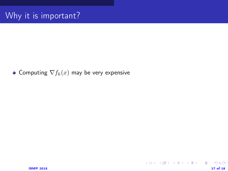#### • Computing  $\nabla f_k(x)$  may be very expensive

イロト 不優 ト 不重 ト 不重 トー 重 …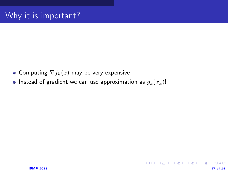- Computing  $\nabla f_k(x)$  may be very expensive
- Instead of gradient we can use approximation as  $g_k(x_k)$ !

K ロ X K @ X K 할 X K 할 X ( 할 X )

 $\Omega$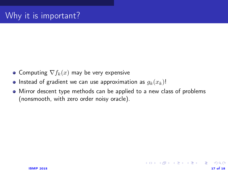- Computing  $\nabla f_k(x)$  may be very expensive
- **Instead of gradient we can use approximation as**  $q_k(x_k)$ !
- Mirror descent type methods can be applied to a new class of problems (nonsmooth, with zero order noisy oracle).

イロト 不優 ト 不差 ト 不差 トー 差し